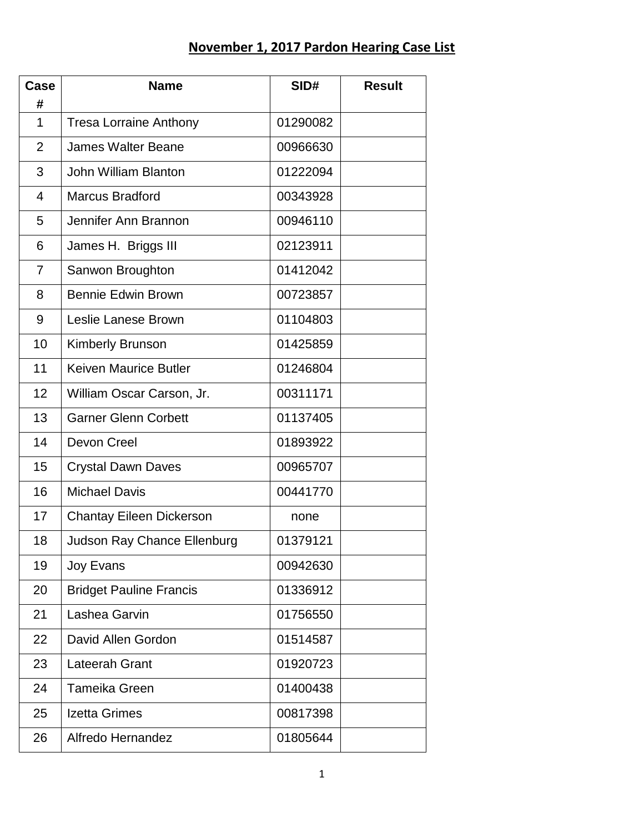## **November 1, 2017 Pardon Hearing Case List**

| Case<br>#      | <b>Name</b>                        | SID#     | <b>Result</b> |
|----------------|------------------------------------|----------|---------------|
| 1              | <b>Tresa Lorraine Anthony</b>      | 01290082 |               |
| $\overline{2}$ | <b>James Walter Beane</b>          | 00966630 |               |
| 3              | <b>John William Blanton</b>        | 01222094 |               |
| 4              | <b>Marcus Bradford</b>             | 00343928 |               |
| 5              | Jennifer Ann Brannon               | 00946110 |               |
| 6              | James H. Briggs III                | 02123911 |               |
| $\overline{7}$ | Sanwon Broughton                   | 01412042 |               |
| 8              | <b>Bennie Edwin Brown</b>          | 00723857 |               |
| 9              | Leslie Lanese Brown                | 01104803 |               |
| 10             | <b>Kimberly Brunson</b>            | 01425859 |               |
| 11             | <b>Keiven Maurice Butler</b>       | 01246804 |               |
| 12             | William Oscar Carson, Jr.          | 00311171 |               |
| 13             | <b>Garner Glenn Corbett</b>        | 01137405 |               |
| 14             | Devon Creel                        | 01893922 |               |
| 15             | <b>Crystal Dawn Daves</b>          | 00965707 |               |
| 16             | <b>Michael Davis</b>               | 00441770 |               |
| 17             | <b>Chantay Eileen Dickerson</b>    | none     |               |
| 18             | <b>Judson Ray Chance Ellenburg</b> | 01379121 |               |
| 19             | <b>Joy Evans</b>                   | 00942630 |               |
| 20             | <b>Bridget Pauline Francis</b>     | 01336912 |               |
| 21             | Lashea Garvin                      | 01756550 |               |
| 22             | David Allen Gordon                 | 01514587 |               |
| 23             | Lateerah Grant                     | 01920723 |               |
| 24             | Tameika Green                      | 01400438 |               |
| 25             | Izetta Grimes                      | 00817398 |               |
| 26             | Alfredo Hernandez                  | 01805644 |               |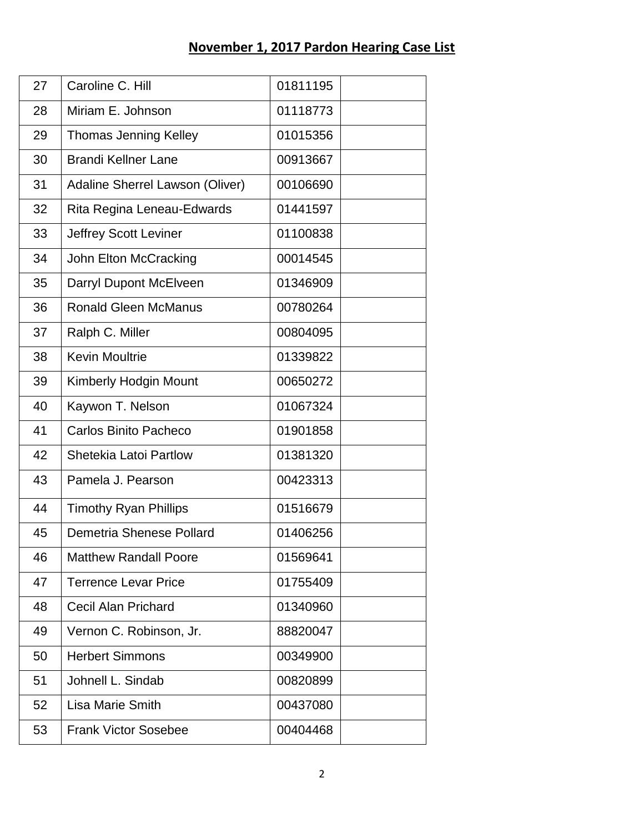## **November 1, 2017 Pardon Hearing Case List**

| 27 | Caroline C. Hill                | 01811195 |
|----|---------------------------------|----------|
| 28 | Miriam E. Johnson               | 01118773 |
| 29 | <b>Thomas Jenning Kelley</b>    | 01015356 |
| 30 | <b>Brandi Kellner Lane</b>      | 00913667 |
| 31 | Adaline Sherrel Lawson (Oliver) | 00106690 |
| 32 | Rita Regina Leneau-Edwards      | 01441597 |
| 33 | Jeffrey Scott Leviner           | 01100838 |
| 34 | John Elton McCracking           | 00014545 |
| 35 | Darryl Dupont McElveen          | 01346909 |
| 36 | <b>Ronald Gleen McManus</b>     | 00780264 |
| 37 | Ralph C. Miller                 | 00804095 |
| 38 | <b>Kevin Moultrie</b>           | 01339822 |
| 39 | <b>Kimberly Hodgin Mount</b>    | 00650272 |
| 40 | Kaywon T. Nelson                | 01067324 |
| 41 | <b>Carlos Binito Pacheco</b>    | 01901858 |
| 42 | <b>Shetekia Latoi Partlow</b>   | 01381320 |
| 43 | Pamela J. Pearson               | 00423313 |
| 44 | <b>Timothy Ryan Phillips</b>    | 01516679 |
| 45 | Demetria Shenese Pollard        | 01406256 |
| 46 | <b>Matthew Randall Poore</b>    | 01569641 |
| 47 | <b>Terrence Levar Price</b>     | 01755409 |
| 48 | Cecil Alan Prichard             | 01340960 |
| 49 | Vernon C. Robinson, Jr.         | 88820047 |
| 50 | <b>Herbert Simmons</b>          | 00349900 |
| 51 | Johnell L. Sindab               | 00820899 |
| 52 | <b>Lisa Marie Smith</b>         | 00437080 |
| 53 | <b>Frank Victor Sosebee</b>     | 00404468 |